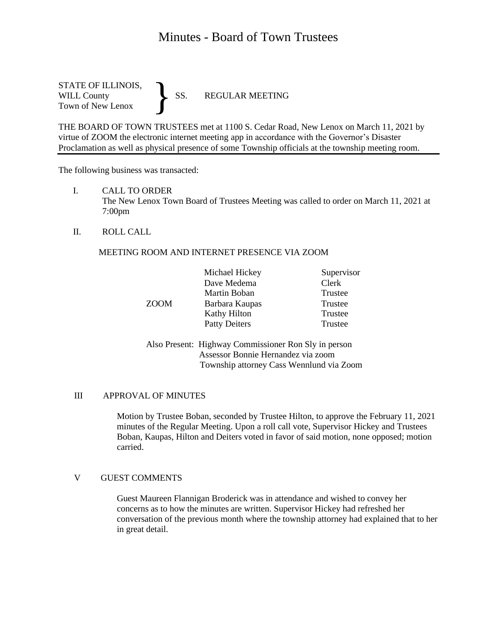# Minutes - Board of Town Trustees

STATE OF ILLINOIS,<br>WILL County SS. WILL County SS. REGULAR MEETING Town of New Lenox }

THE BOARD OF TOWN TRUSTEES met at 1100 S. Cedar Road, New Lenox on March 11, 2021 by virtue of ZOOM the electronic internet meeting app in accordance with the Governor's Disaster Proclamation as well as physical presence of some Township officials at the township meeting room.

The following business was transacted:

I. CALL TO ORDER

The New Lenox Town Board of Trustees Meeting was called to order on March 11, 2021 at 7:00pm

II. ROLL CALL

#### MEETING ROOM AND INTERNET PRESENCE VIA ZOOM

|             | Michael Hickey       | Supervisor |
|-------------|----------------------|------------|
| <b>ZOOM</b> | Dave Medema          | Clerk      |
|             | Martin Boban         | Trustee    |
|             | Barbara Kaupas       | Trustee    |
|             | Kathy Hilton         | Trustee    |
|             | <b>Patty Deiters</b> | Trustee    |
|             |                      |            |

Also Present: Highway Commissioner Ron Sly in person Assessor Bonnie Hernandez via zoom Township attorney Cass Wennlund via Zoom

#### III APPROVAL OF MINUTES

Motion by Trustee Boban, seconded by Trustee Hilton, to approve the February 11, 2021 minutes of the Regular Meeting. Upon a roll call vote, Supervisor Hickey and Trustees Boban, Kaupas, Hilton and Deiters voted in favor of said motion, none opposed; motion carried.

#### V GUEST COMMENTS

Guest Maureen Flannigan Broderick was in attendance and wished to convey her concerns as to how the minutes are written. Supervisor Hickey had refreshed her conversation of the previous month where the township attorney had explained that to her in great detail.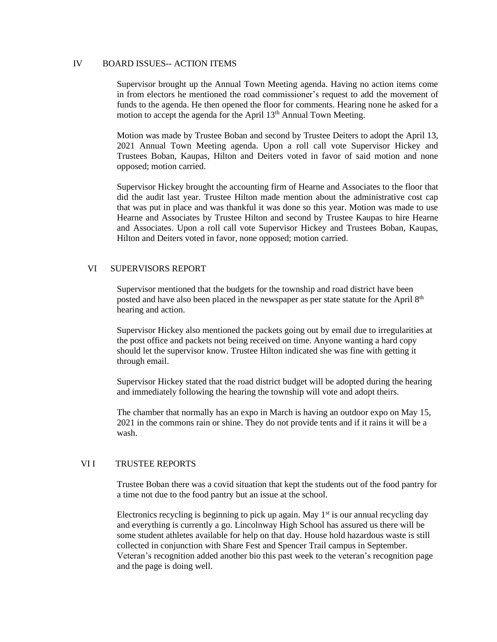### IV BOARD ISSUES-- ACTION ITEMS

Supervisor brought up the Annual Town Meeting agenda. Having no action items come in from electors he mentioned the road commissioner's request to add the movement of funds to the agenda. He then opened the floor for comments. Hearing none he asked for a motion to accept the agenda for the April  $13<sup>th</sup>$  Annual Town Meeting.

Motion was made by Trustee Boban and second by Trustee Deiters to adopt the April 13, 2021 Annual Town Meeting agenda. Upon a roll call vote Supervisor Hickey and Trustees Boban, Kaupas, Hilton and Deiters voted in favor of said motion and none opposed; motion carried.

Supervisor Hickey brought the accounting firm of Hearne and Associates to the floor that did the audit last year. Trustee Hilton made mention about the administrative cost cap that was put in place and was thankful it was done so this year. Motion was made to use Hearne and Associates by Trustee Hilton and second by Trustee Kaupas to hire Hearne and Associates. Upon a roll call vote Supervisor Hickey and Trustees Boban, Kaupas, Hilton and Deiters voted in favor, none opposed; motion carried.

### VI SUPERVISORS REPORT

Supervisor mentioned that the budgets for the township and road district have been posted and have also been placed in the newspaper as per state statute for the April 8<sup>th</sup> hearing and action.

Supervisor Hickey also mentioned the packets going out by email due to irregularities at the post office and packets not being received on time. Anyone wanting a hard copy should let the supervisor know. Trustee Hilton indicated she was fine with getting it through email.

Supervisor Hickey stated that the road district budget will be adopted during the hearing and immediately following the hearing the township will vote and adopt theirs.

The chamber that normally has an expo in March is having an outdoor expo on May 15, 2021 in the commons rain or shine. They do not provide tents and if it rains it will be a wash.

# VI I TRUSTEE REPORTS

Trustee Boban there was a covid situation that kept the students out of the food pantry for a time not due to the food pantry but an issue at the school.

Electronics recycling is beginning to pick up again. May  $1<sup>st</sup>$  is our annual recycling day and everything is currently a go. Lincolnway High School has assured us there will be some student athletes available for help on that day. House hold hazardous waste is still collected in conjunction with Share Fest and Spencer Trail campus in September. Veteran's recognition added another bio this past week to the veteran's recognition page and the page is doing well.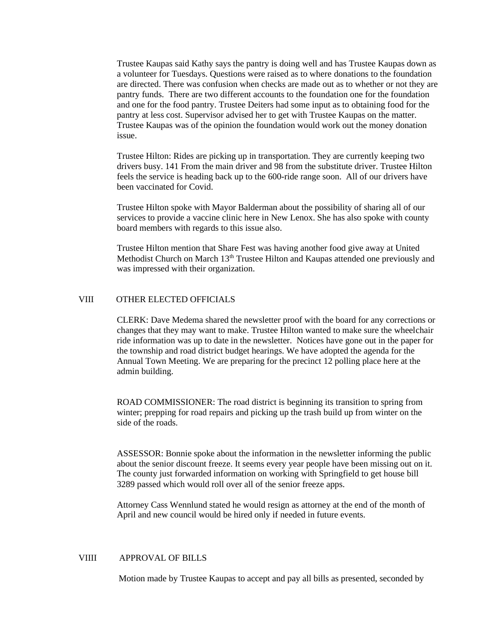Trustee Kaupas said Kathy says the pantry is doing well and has Trustee Kaupas down as a volunteer for Tuesdays. Questions were raised as to where donations to the foundation are directed. There was confusion when checks are made out as to whether or not they are pantry funds. There are two different accounts to the foundation one for the foundation and one for the food pantry. Trustee Deiters had some input as to obtaining food for the pantry at less cost. Supervisor advised her to get with Trustee Kaupas on the matter. Trustee Kaupas was of the opinion the foundation would work out the money donation issue.

Trustee Hilton: Rides are picking up in transportation. They are currently keeping two drivers busy. 141 From the main driver and 98 from the substitute driver. Trustee Hilton feels the service is heading back up to the 600-ride range soon. All of our drivers have been vaccinated for Covid.

Trustee Hilton spoke with Mayor Balderman about the possibility of sharing all of our services to provide a vaccine clinic here in New Lenox. She has also spoke with county board members with regards to this issue also.

Trustee Hilton mention that Share Fest was having another food give away at United Methodist Church on March 13<sup>th</sup> Trustee Hilton and Kaupas attended one previously and was impressed with their organization.

# VIII OTHER ELECTED OFFICIALS

CLERK: Dave Medema shared the newsletter proof with the board for any corrections or changes that they may want to make. Trustee Hilton wanted to make sure the wheelchair ride information was up to date in the newsletter. Notices have gone out in the paper for the township and road district budget hearings. We have adopted the agenda for the Annual Town Meeting. We are preparing for the precinct 12 polling place here at the admin building.

ROAD COMMISSIONER: The road district is beginning its transition to spring from winter; prepping for road repairs and picking up the trash build up from winter on the side of the roads.

ASSESSOR: Bonnie spoke about the information in the newsletter informing the public about the senior discount freeze. It seems every year people have been missing out on it. The county just forwarded information on working with Springfield to get house bill 3289 passed which would roll over all of the senior freeze apps.

Attorney Cass Wennlund stated he would resign as attorney at the end of the month of April and new council would be hired only if needed in future events.

#### VIIII APPROVAL OF BILLS

Motion made by Trustee Kaupas to accept and pay all bills as presented, seconded by